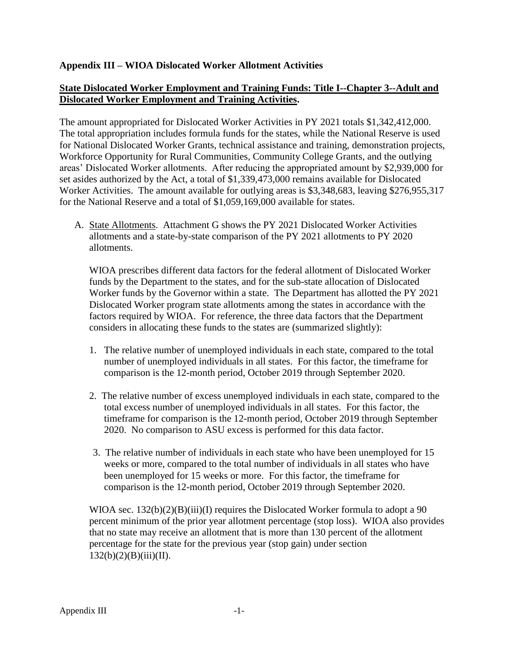## **Appendix III – WIOA Dislocated Worker Allotment Activities**

## **State Dislocated Worker Employment and Training Funds: Title I--Chapter 3--Adult and Dislocated Worker Employment and Training Activities.**

The amount appropriated for Dislocated Worker Activities in PY 2021 totals \$1,342,412,000. The total appropriation includes formula funds for the states, while the National Reserve is used for National Dislocated Worker Grants, technical assistance and training, demonstration projects, Workforce Opportunity for Rural Communities, Community College Grants, and the outlying areas' Dislocated Worker allotments. After reducing the appropriated amount by \$2,939,000 for set asides authorized by the Act, a total of \$1,339,473,000 remains available for Dislocated Worker Activities. The amount available for outlying areas is \$3,348,683, leaving \$276,955,317 for the National Reserve and a total of \$1,059,169,000 available for states.

A. State Allotments. Attachment G shows the PY 2021 Dislocated Worker Activities allotments and a state-by-state comparison of the PY 2021 allotments to PY 2020 allotments.

WIOA prescribes different data factors for the federal allotment of Dislocated Worker funds by the Department to the states, and for the sub-state allocation of Dislocated Worker funds by the Governor within a state. The Department has allotted the PY 2021 Dislocated Worker program state allotments among the states in accordance with the factors required by WIOA. For reference, the three data factors that the Department considers in allocating these funds to the states are (summarized slightly):

- 1. The relative number of unemployed individuals in each state, compared to the total number of unemployed individuals in all states. For this factor, the timeframe for comparison is the 12-month period, October 2019 through September 2020.
- 2. The relative number of excess unemployed individuals in each state, compared to the total excess number of unemployed individuals in all states. For this factor, the timeframe for comparison is the 12-month period, October 2019 through September 2020. No comparison to ASU excess is performed for this data factor.
- 3. The relative number of individuals in each state who have been unemployed for 15 weeks or more, compared to the total number of individuals in all states who have been unemployed for 15 weeks or more. For this factor, the timeframe for comparison is the 12-month period, October 2019 through September 2020.

WIOA sec.  $132(b)(2)(B)(iii)(I)$  requires the Dislocated Worker formula to adopt a 90 percent minimum of the prior year allotment percentage (stop loss). WIOA also provides that no state may receive an allotment that is more than 130 percent of the allotment percentage for the state for the previous year (stop gain) under section  $132(b)(2)(B)(iii)(II).$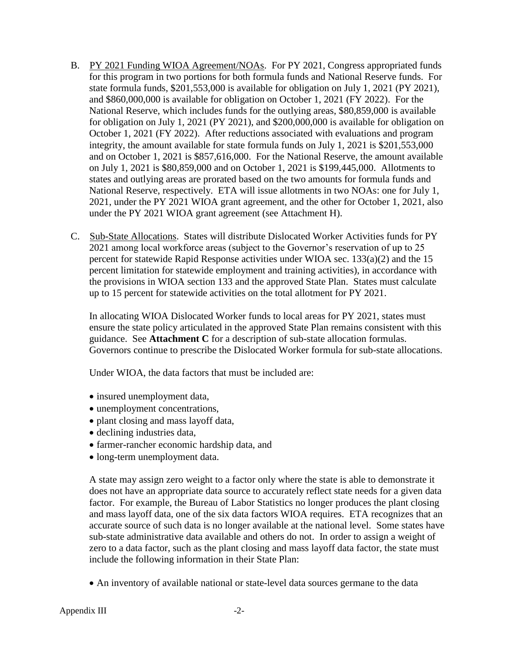- B. PY 2021 Funding WIOA Agreement/NOAs. For PY 2021, Congress appropriated funds for this program in two portions for both formula funds and National Reserve funds. For state formula funds, \$201,553,000 is available for obligation on July 1, 2021 (PY 2021), and \$860,000,000 is available for obligation on October 1, 2021 (FY 2022). For the National Reserve, which includes funds for the outlying areas, \$80,859,000 is available for obligation on July 1, 2021 (PY 2021), and \$200,000,000 is available for obligation on October 1, 2021 (FY 2022). After reductions associated with evaluations and program integrity, the amount available for state formula funds on July 1, 2021 is \$201,553,000 and on October 1, 2021 is \$857,616,000. For the National Reserve, the amount available on July 1, 2021 is \$80,859,000 and on October 1, 2021 is \$199,445,000. Allotments to states and outlying areas are prorated based on the two amounts for formula funds and National Reserve, respectively. ETA will issue allotments in two NOAs: one for July 1, 2021, under the PY 2021 WIOA grant agreement, and the other for October 1, 2021, also under the PY 2021 WIOA grant agreement (see Attachment H).
- C. Sub-State Allocations. States will distribute Dislocated Worker Activities funds for PY 2021 among local workforce areas (subject to the Governor's reservation of up to 25 percent for statewide Rapid Response activities under WIOA sec. 133(a)(2) and the 15 percent limitation for statewide employment and training activities), in accordance with the provisions in WIOA section 133 and the approved State Plan. States must calculate up to 15 percent for statewide activities on the total allotment for PY 2021.

In allocating WIOA Dislocated Worker funds to local areas for PY 2021, states must ensure the state policy articulated in the approved State Plan remains consistent with this guidance. See **Attachment C** for a description of sub-state allocation formulas. Governors continue to prescribe the Dislocated Worker formula for sub-state allocations.

Under WIOA, the data factors that must be included are:

- insured unemployment data,
- unemployment concentrations,
- plant closing and mass layoff data,
- declining industries data,
- farmer-rancher economic hardship data, and
- long-term unemployment data.

A state may assign zero weight to a factor only where the state is able to demonstrate it does not have an appropriate data source to accurately reflect state needs for a given data factor. For example, the Bureau of Labor Statistics no longer produces the plant closing and mass layoff data, one of the six data factors WIOA requires. ETA recognizes that an accurate source of such data is no longer available at the national level. Some states have sub-state administrative data available and others do not. In order to assign a weight of zero to a data factor, such as the plant closing and mass layoff data factor, the state must include the following information in their State Plan:

An inventory of available national or state-level data sources germane to the data